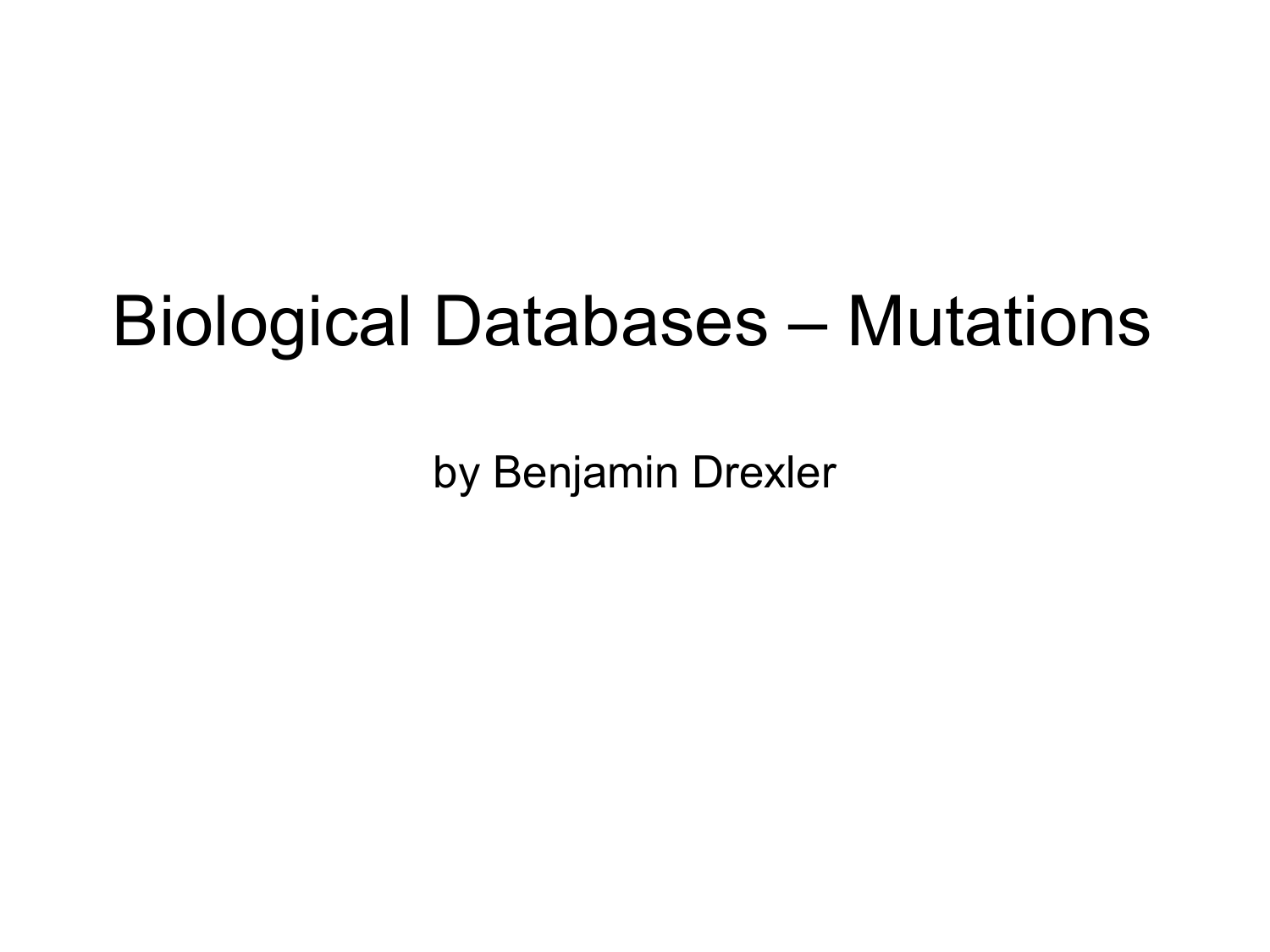#### Biological Databases – Mutations

by Benjamin Drexler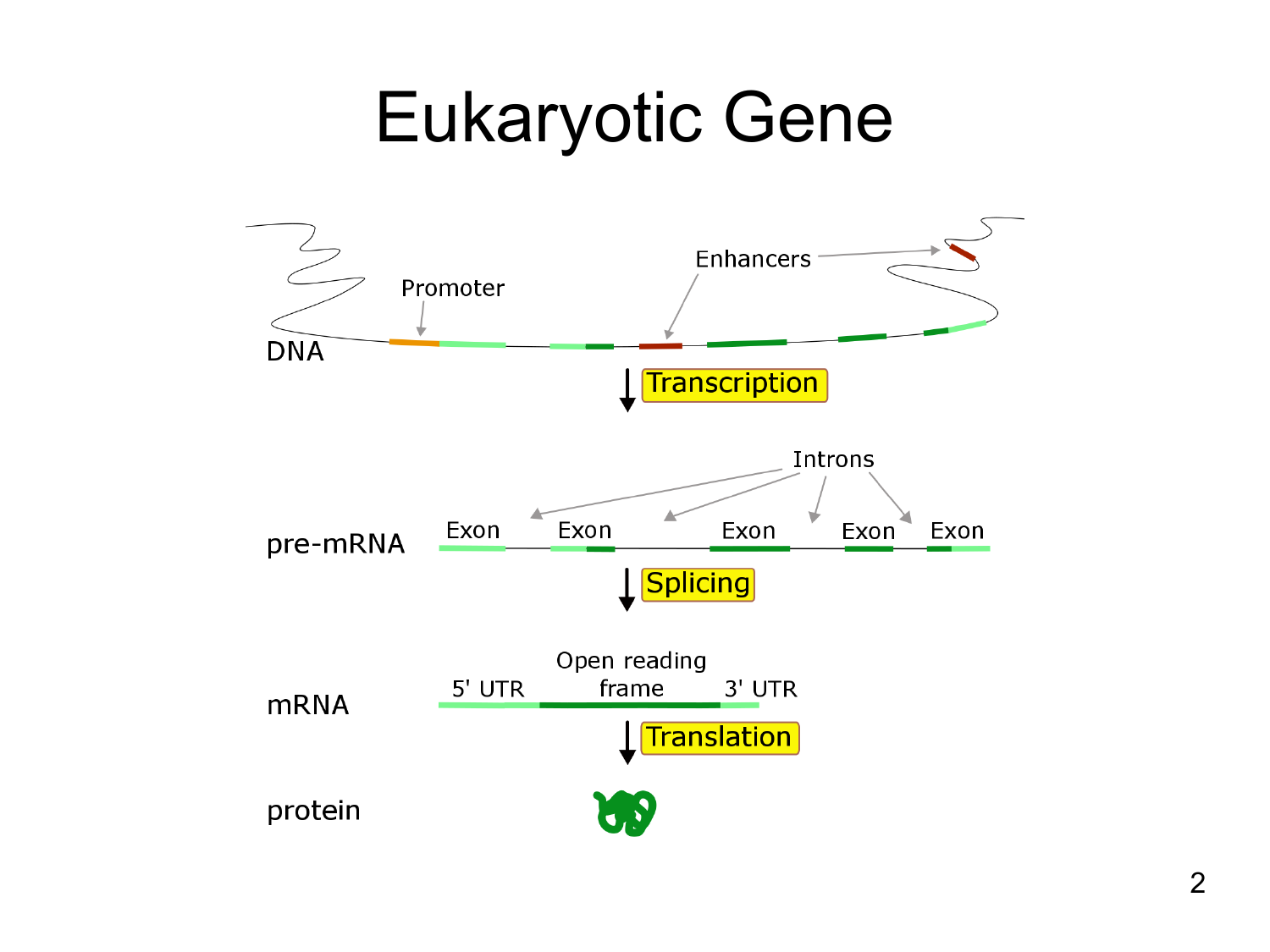#### Eukaryotic Gene

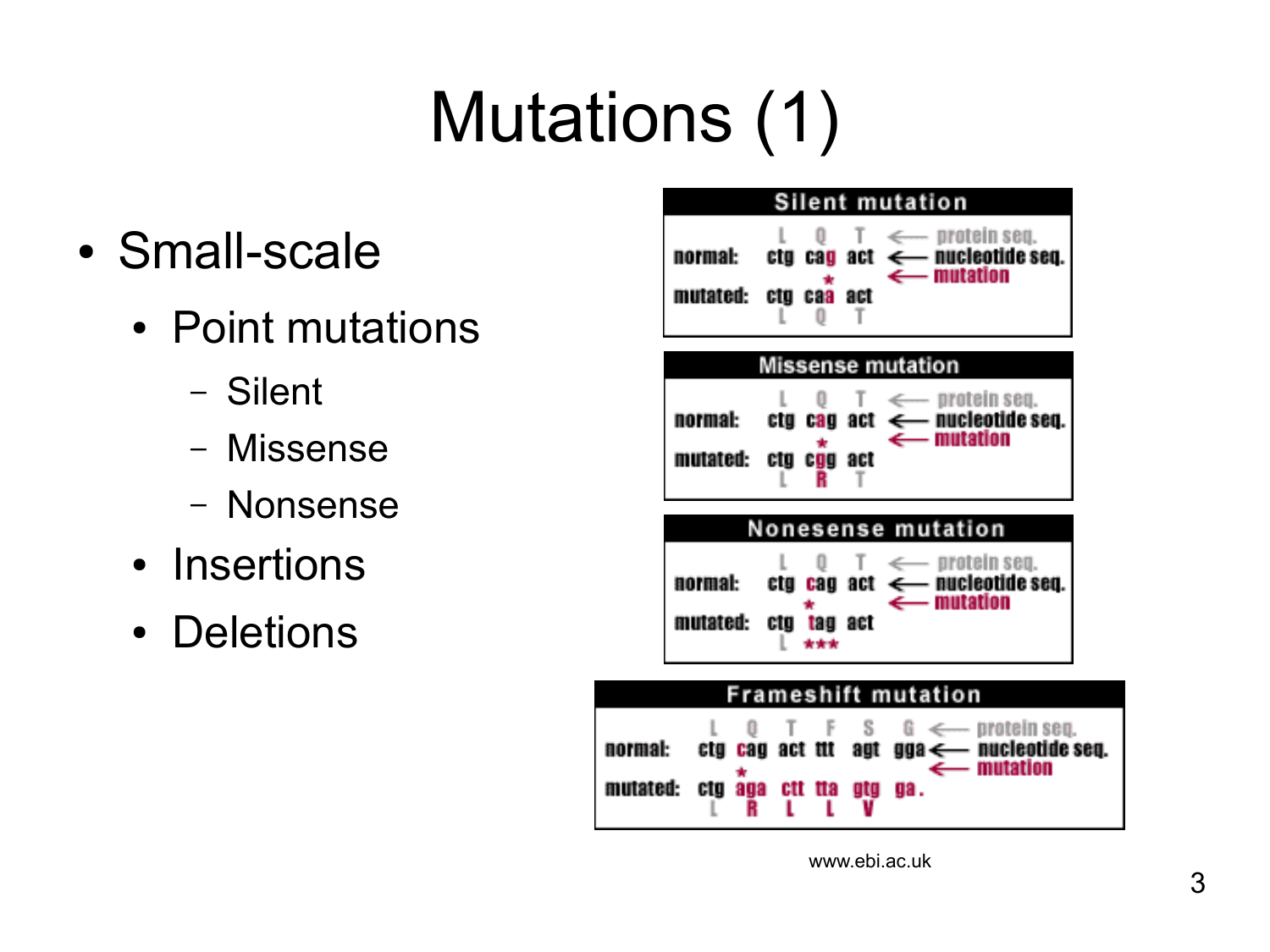# Mutations (1)

Ш

mutated:

- Small-scale
	- Point mutations
		- Silent
		- Missense
		- Nonsense
	- Insertions
	- Deletions

|                      |                                                           |     | Silent mutation                                                                                                                                      |
|----------------------|-----------------------------------------------------------|-----|------------------------------------------------------------------------------------------------------------------------------------------------------|
| normal:<br>mutated:  | $\begin{bmatrix} 1 & 0 \\ 0 & 0 \end{bmatrix}$<br>ctg caa | act | $T \iff$ protein seq.<br>$ctg$ cag act $\leftarrow$ nucleotide seq.<br>$\leftarrow$ mutation                                                         |
|                      |                                                           |     | <b>Missense mutation</b>                                                                                                                             |
| mutated: ctg cgg act | ŵ.                                                        | R T | $L = 0$ T $\leftarrow$ protein seq.<br>normal: $\alpha$ ctg cag act $\leftarrow$ nucleotide seq.<br>$\leftarrow$ mutation                            |
|                      |                                                           |     | <b>Nonesense mutation</b>                                                                                                                            |
| normal:<br>mutated:  | ctg tag act                                               |     | $L \quad 0 \quad T \iff \text{protein seq.}$<br>$\mathfrak{e}\mathfrak{e}\mathfrak{g}$ cag act $\leftarrow$ nucleotide seq.<br>$\leftarrow$ mutation |
|                      |                                                           |     | Frameshift mutation                                                                                                                                  |
| ormal:<br>site i     | T F<br>etg cag act tit                                    |     | $S \t G \t \leftarrow$ protein seq.<br>agt gga <--- nucleotide seq.<br>$\leftarrow$ mutation                                                         |

www.ebi.ac.uk

**ua.**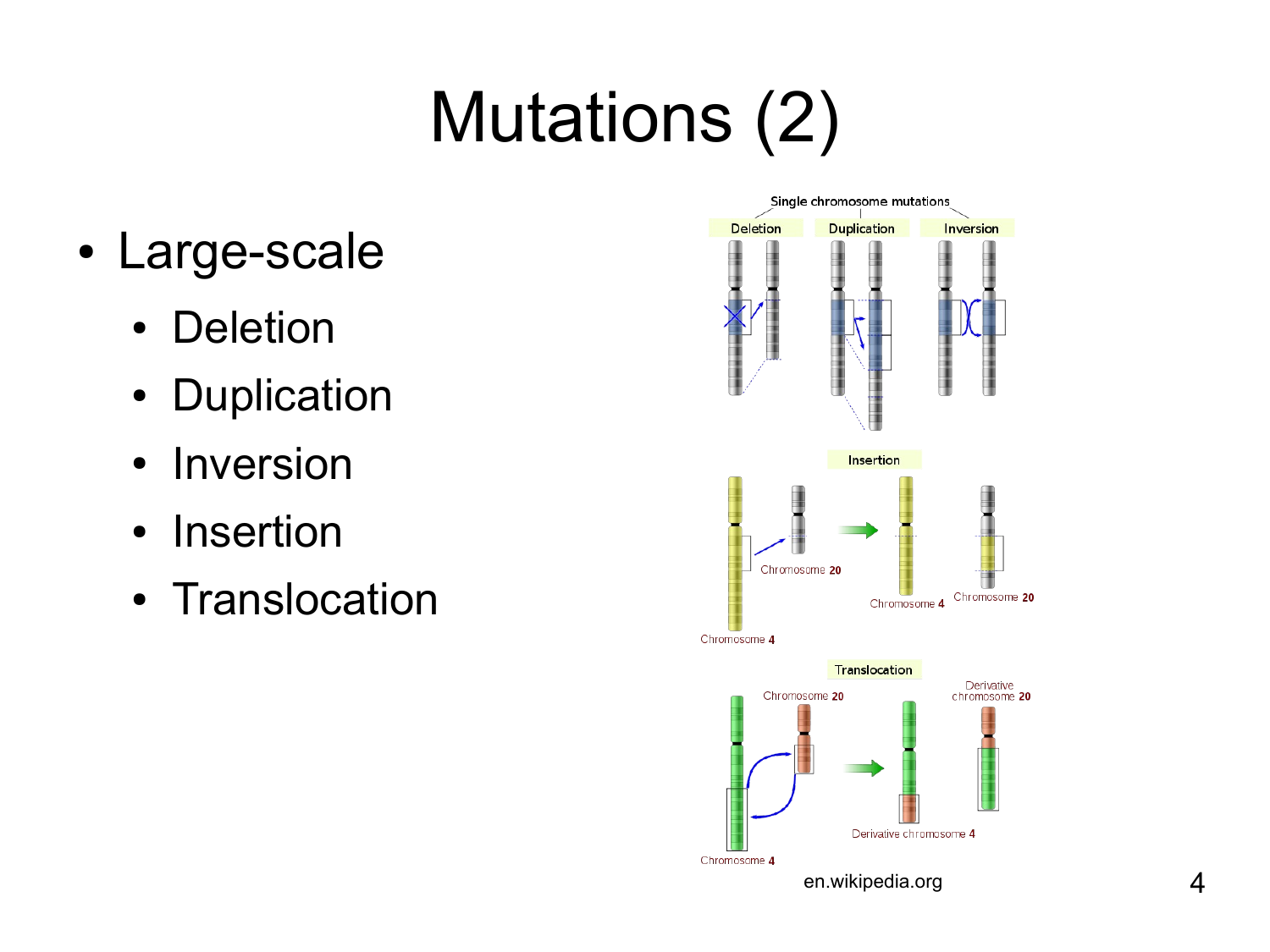# Mutations (2)

- Large-scale
	- Deletion
	- Duplication
	- Inversion
	- Insertion
	- Translocation

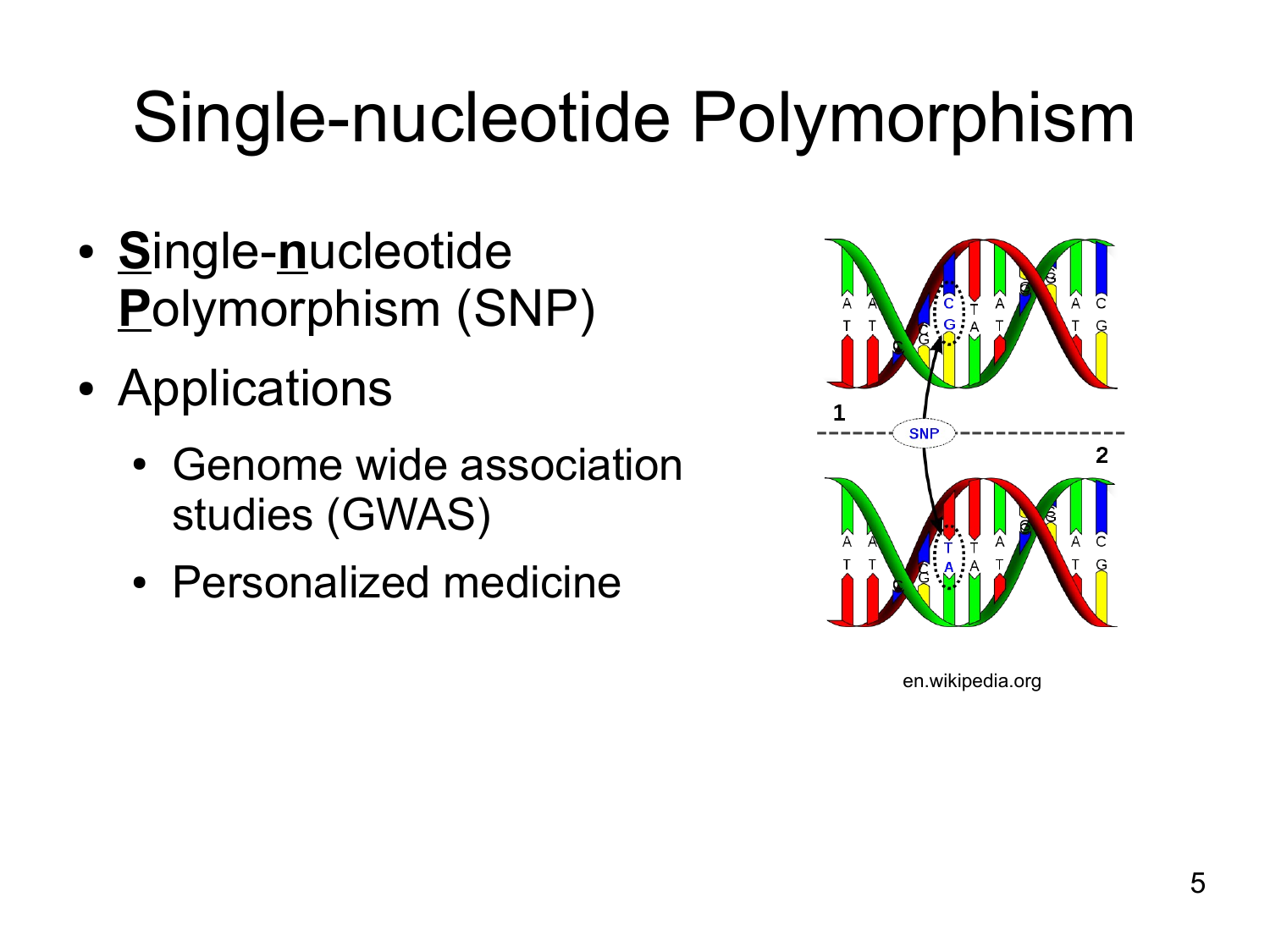# Single-nucleotide Polymorphism

- **S**ingle-**n**ucleotide **P**olymorphism (SNP)
- Applications
	- Genome wide association studies (GWAS)
	- Personalized medicine



en.wikipedia.org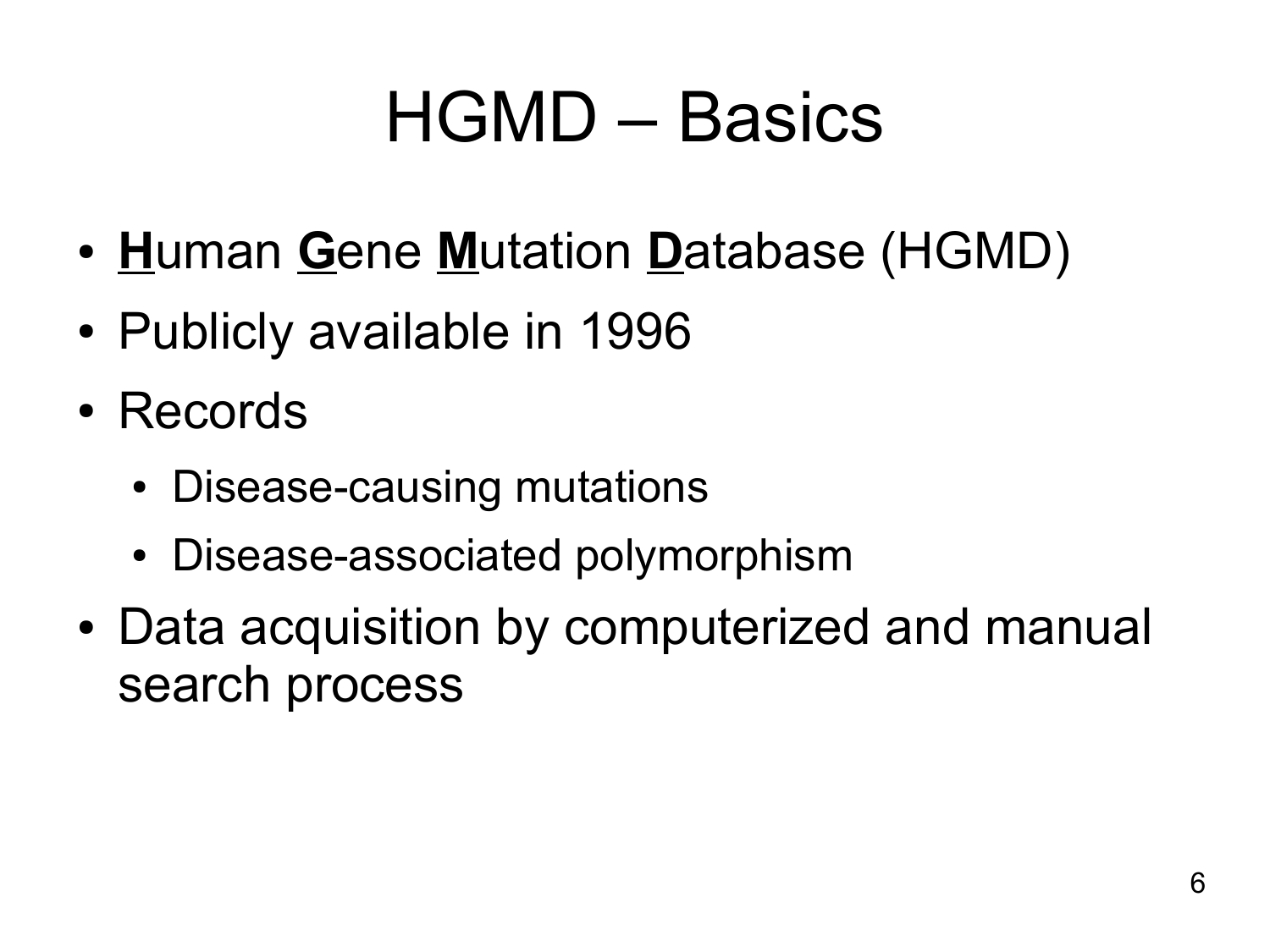### HGMD – Basics

- **H**uman **G**ene **M**utation **D**atabase (HGMD)
- Publicly available in 1996
- Records
	- Disease-causing mutations
	- Disease-associated polymorphism
- Data acquisition by computerized and manual search process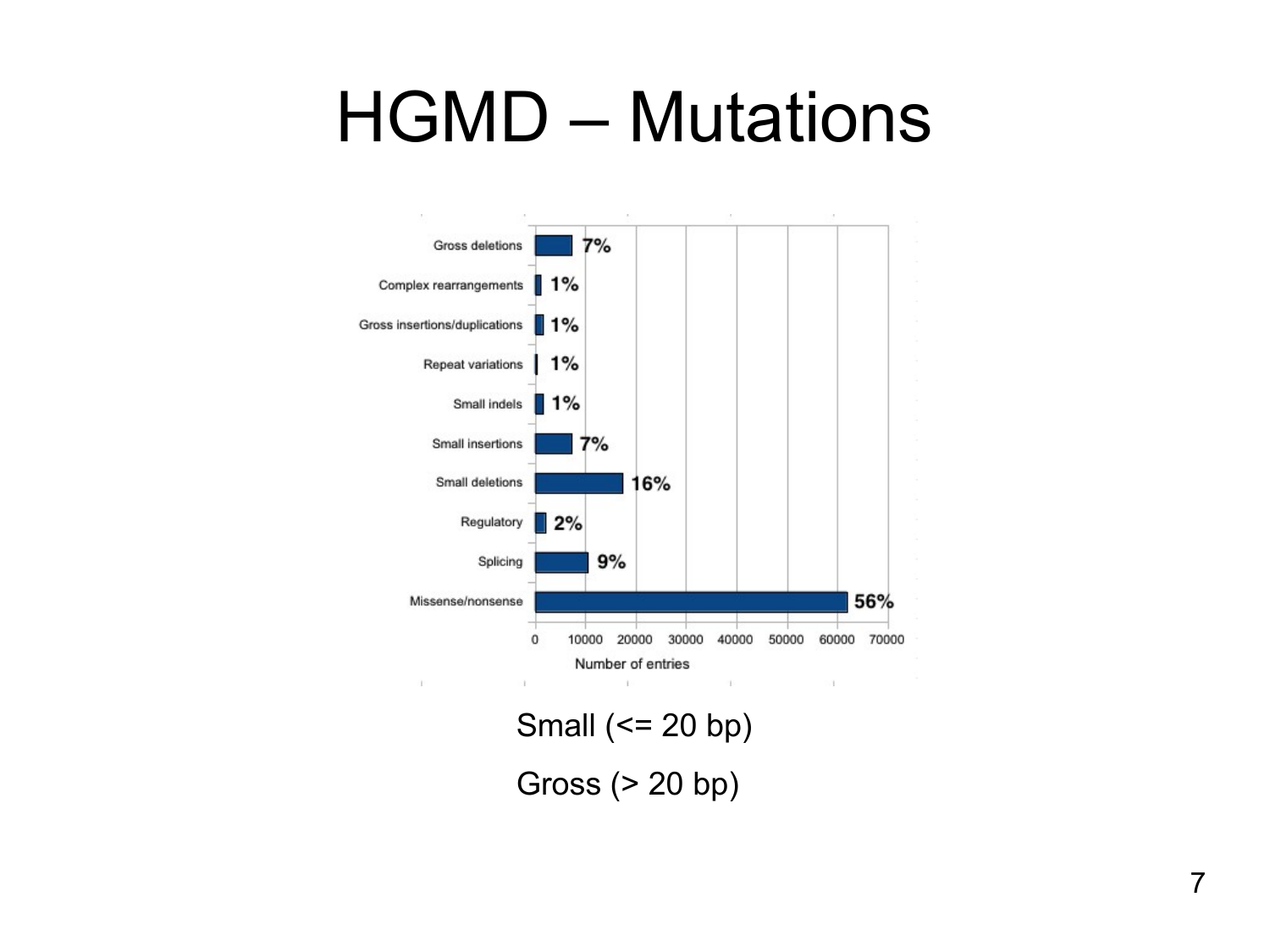#### HGMD – Mutations



Small (<= 20 bp) Gross (> 20 bp)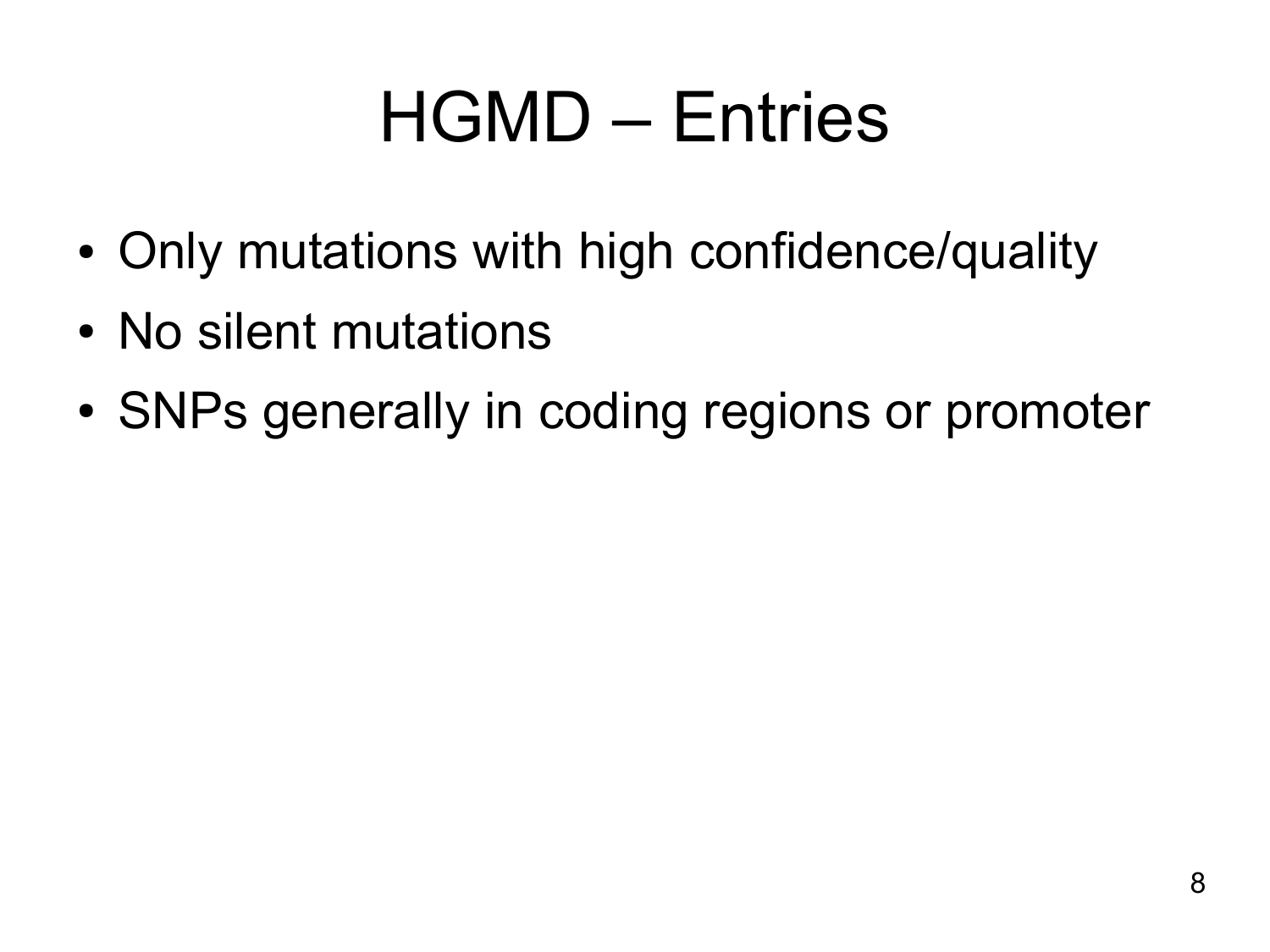## HGMD – Entries

- Only mutations with high confidence/quality
- No silent mutations
- SNPs generally in coding regions or promoter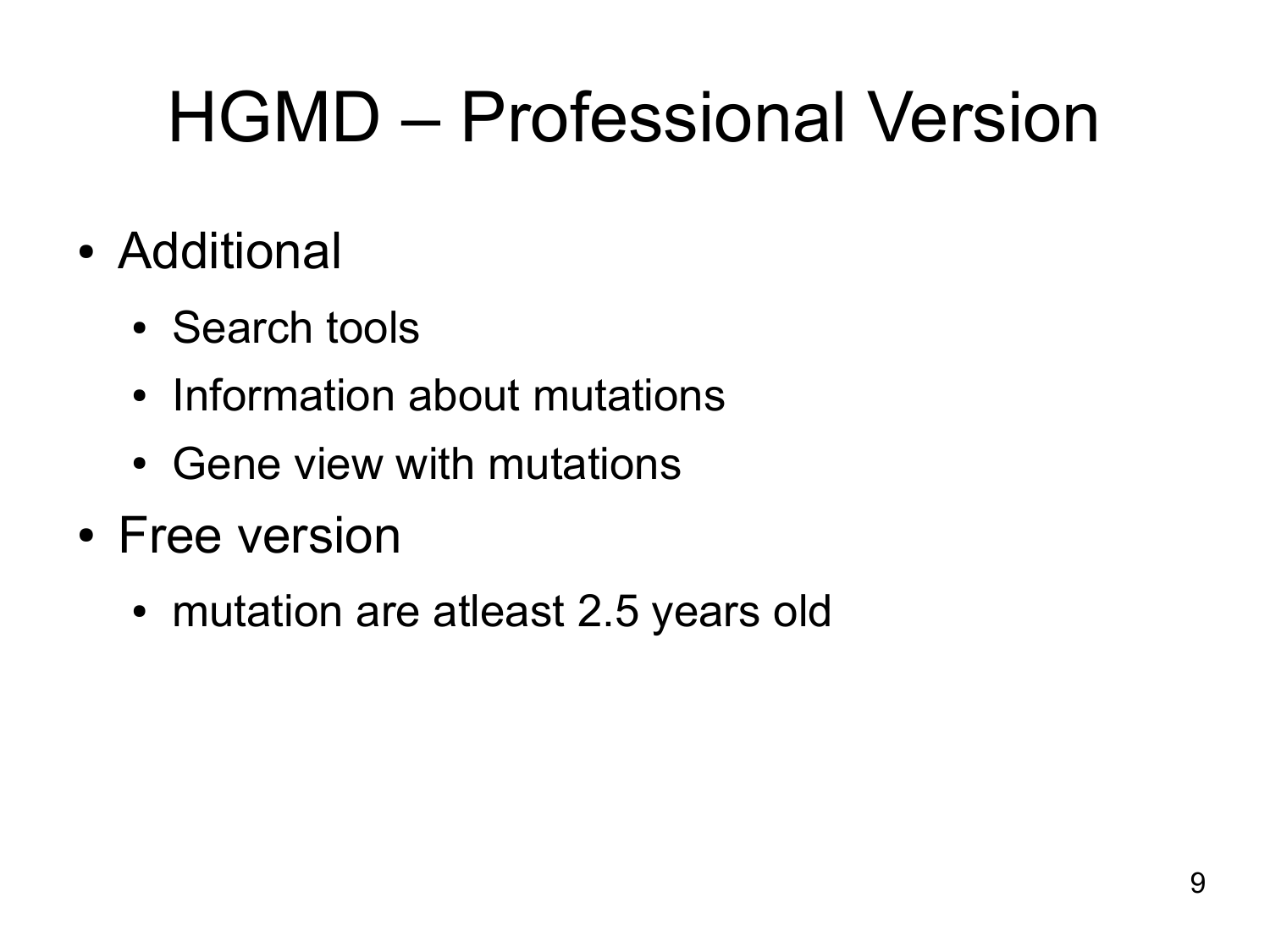# HGMD – Professional Version

- Additional
	- Search tools
	- Information about mutations
	- Gene view with mutations
- Free version
	- mutation are atleast 2.5 years old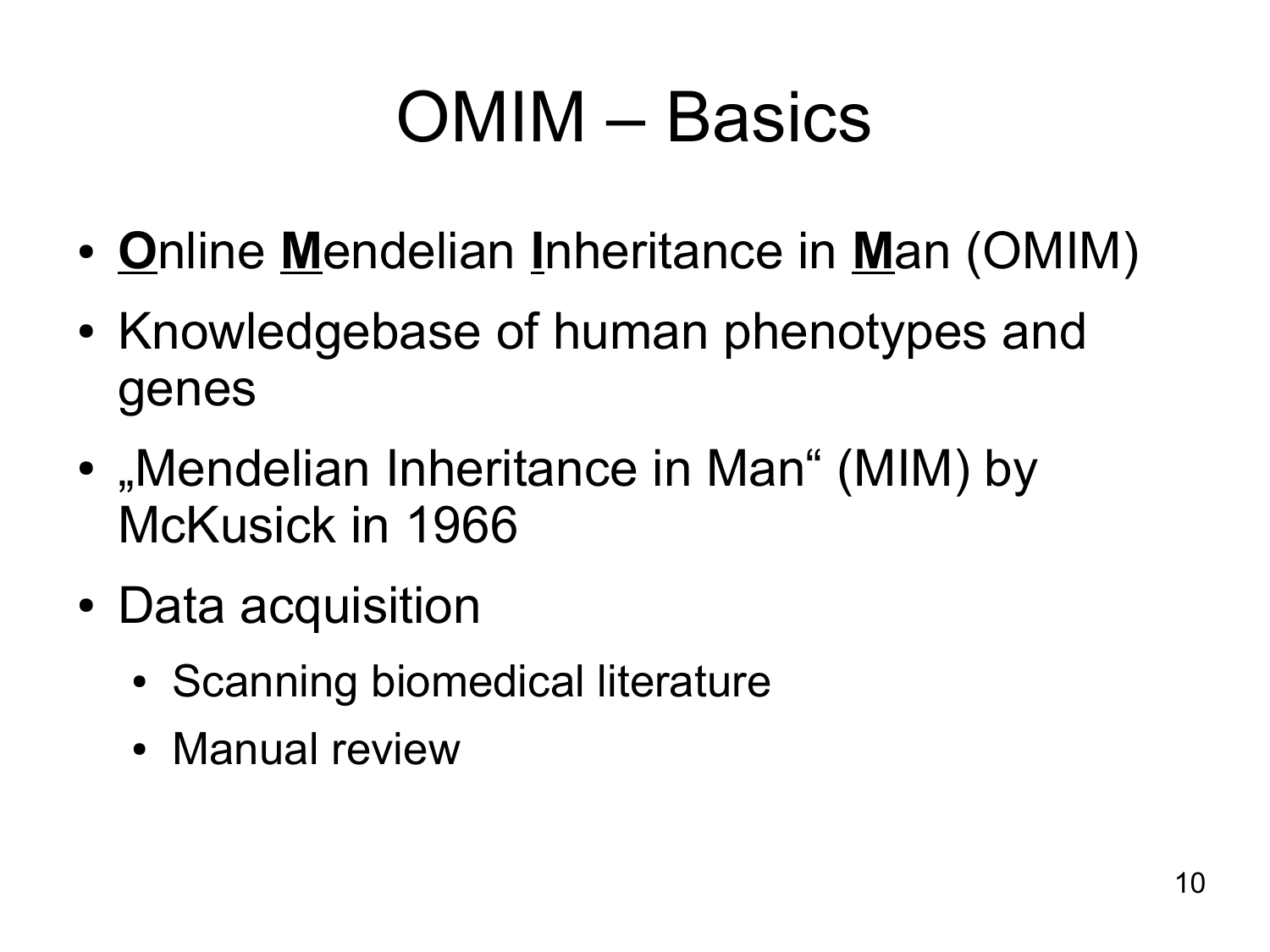## OMIM – Basics

- **O**nline **M**endelian **I**nheritance in **M**an (OMIM)
- Knowledgebase of human phenotypes and genes
- $\bullet$ "Mendelian Inheritance in Man" (MIM) by McKusick in 1966
- Data acquisition
	- Scanning biomedical literature
	- Manual review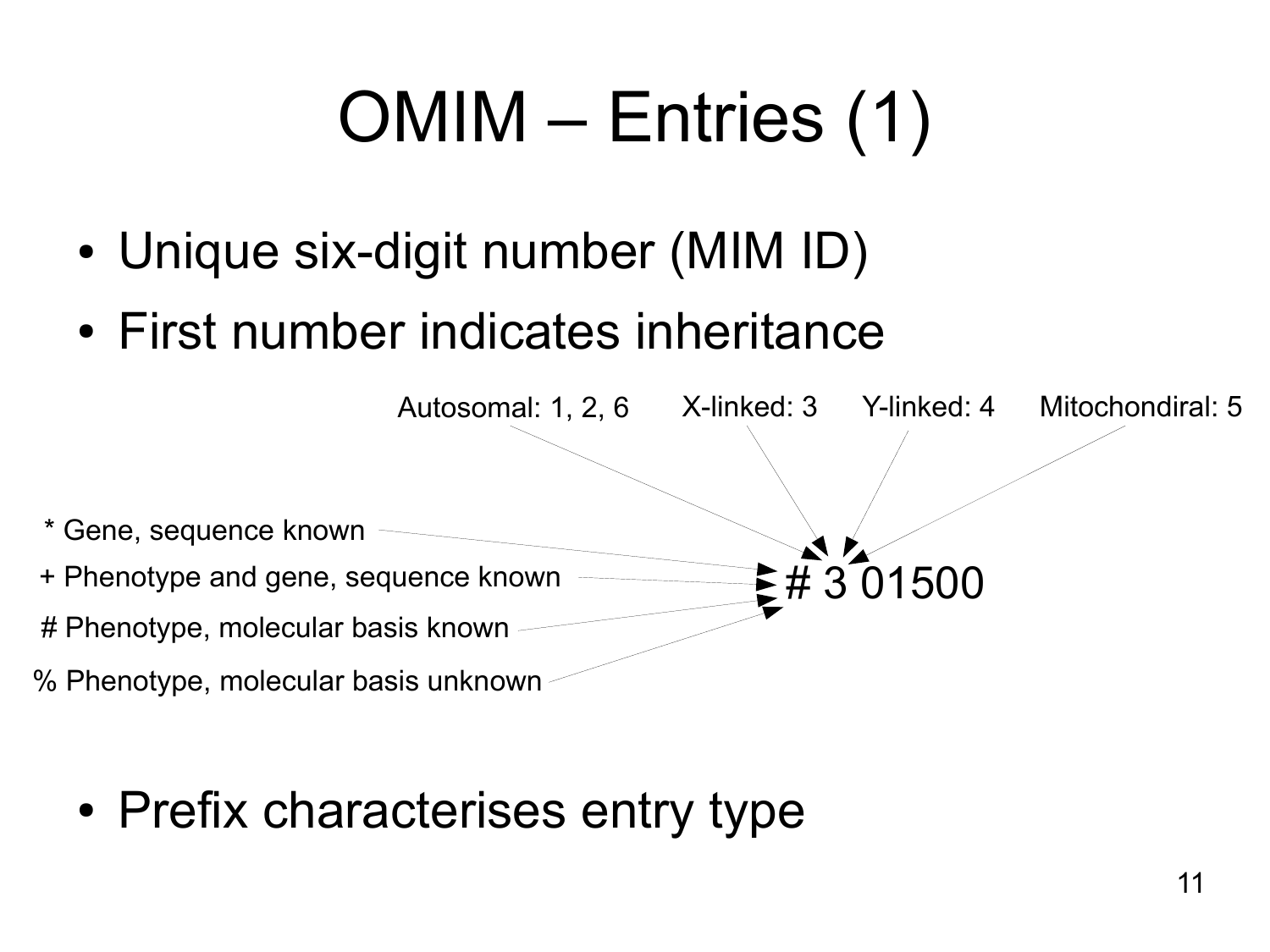# OMIM – Entries (1)

- Unique six-digit number (MIM ID)
- First number indicates inheritance



• Prefix characterises entry type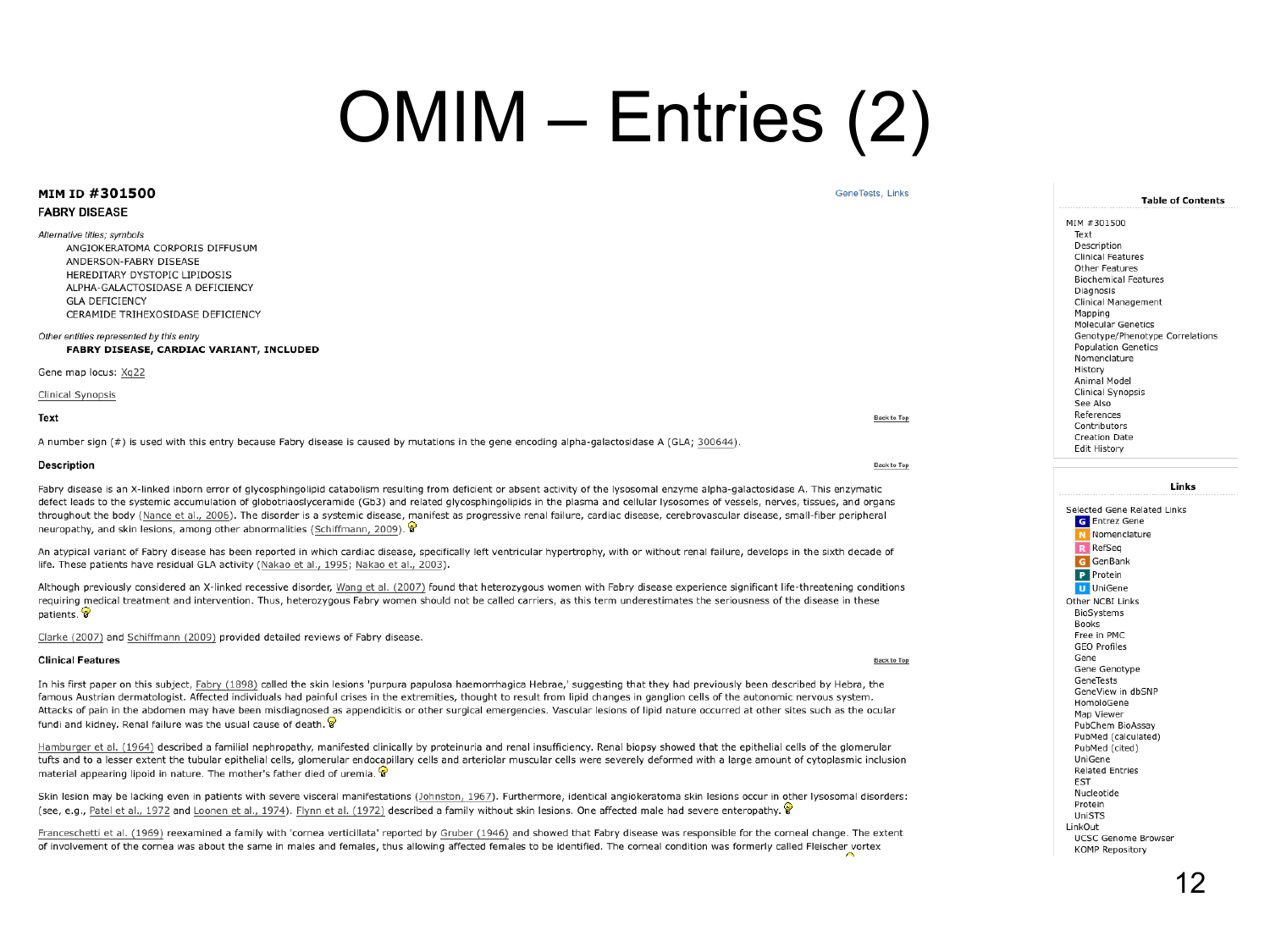#### OMIM – Entries (2)

| <b>MIM ID #301500</b>                                                                                                                                                                                                                                                                                                                                                                                                                                                                                                                                                                                                                                             | Gene lests, Links  | <b>Table of Contents</b>                                                                                                                                                                    |
|-------------------------------------------------------------------------------------------------------------------------------------------------------------------------------------------------------------------------------------------------------------------------------------------------------------------------------------------------------------------------------------------------------------------------------------------------------------------------------------------------------------------------------------------------------------------------------------------------------------------------------------------------------------------|--------------------|---------------------------------------------------------------------------------------------------------------------------------------------------------------------------------------------|
| <b>FABRY DISEASE</b>                                                                                                                                                                                                                                                                                                                                                                                                                                                                                                                                                                                                                                              |                    |                                                                                                                                                                                             |
| Alternative titles; symbols<br>ANGIOKERATOMA CORPORIS DIFFUSUM<br>ANDERSON-FABRY DISEASE<br>HEREDITARY DYSTOPIC LIPIDOSIS<br>ALPHA-GALACTOSIDASE A DEFICIENCY<br><b>GLA DEFICIENCY</b><br>CERAMIDE TRIHEXOSIDASE DEFICIENCY                                                                                                                                                                                                                                                                                                                                                                                                                                       |                    | MIM #301500<br>Text<br>Description<br><b>Clinical Features</b><br>Other Features<br><b>Biochemical Features</b><br>Diagnosis<br>Clinical Management<br>Mapping<br><b>Molecular Genetics</b> |
| Other entities represented by this entry<br>FABRY DISEASE, CARDIAC VARIANT, INCLUDED                                                                                                                                                                                                                                                                                                                                                                                                                                                                                                                                                                              |                    | Genotype/Phenotype Correlations<br><b>Population Genetics</b><br>Nomenclature                                                                                                               |
| Gene map locus: Xq22<br>Clinical Synopsis                                                                                                                                                                                                                                                                                                                                                                                                                                                                                                                                                                                                                         |                    | History<br>Animal Model<br>Clinical Synopsis<br>See Also                                                                                                                                    |
| Text                                                                                                                                                                                                                                                                                                                                                                                                                                                                                                                                                                                                                                                              | <b>Back to Top</b> | References<br>Contributors                                                                                                                                                                  |
| A number sign (#) is used with this entry because Fabry disease is caused by mutations in the gene encoding alpha-galactosidase A (GLA; 300644).                                                                                                                                                                                                                                                                                                                                                                                                                                                                                                                  |                    | <b>Creation Date</b><br>Edit History                                                                                                                                                        |
| <b>Description</b>                                                                                                                                                                                                                                                                                                                                                                                                                                                                                                                                                                                                                                                | <b>Back to Top</b> |                                                                                                                                                                                             |
| Fabry disease is an X-linked inborn error of glycosphingolipid catabolism resulting from deficient or absent activity of the lysosomal enzyme alpha-galactosidase A. This enzymatic<br>defect leads to the systemic accumulation of globotriaoslyceramide (Gb3) and related glycosphingolipids in the plasma and cellular lysosomes of vessels, nerves, tissues, and organs<br>throughout the body (Nance et al., 2006). The disorder is a systemic disease, manifest as progressive renal failure, cardiac disease, cerebrovascular disease, small-fiber peripheral<br>neuropathy, and skin lesions, among other abnormalities (Schiffmann, 2009). $\circledast$ |                    | Links<br>Selected Gene Related Links<br><b>G</b> Entrez Gene<br>N Nomenclature                                                                                                              |
| An atypical variant of Fabry disease has been reported in which cardiac disease, specifically left ventricular hypertrophy, with or without renal failure, develops in the sixth decade of<br>life. These patients have residual GLA activity (Nakao et al., 1995; Nakao et al., 2003).                                                                                                                                                                                                                                                                                                                                                                           |                    | R RefSeq<br>G GenBank<br>P Protein                                                                                                                                                          |
| Although previously considered an X-linked recessive disorder, Wang et al. (2007) found that heterozygous women with Fabry disease experience significant life-threatening conditions<br>requiring medical treatment and intervention. Thus, heterozygous Fabry women should not be called carriers, as this term underestimates the seriousness of the disease in these<br>patients.                                                                                                                                                                                                                                                                             |                    | <b>U</b> UniGene<br>Other NCBI Links<br>BioSystems<br><b>Books</b>                                                                                                                          |
| Clarke (2007) and Schiffmann (2009) provided detailed reviews of Fabry disease.                                                                                                                                                                                                                                                                                                                                                                                                                                                                                                                                                                                   |                    | Free in PMC<br><b>GEO Profiles</b>                                                                                                                                                          |
| <b>Clinical Features</b>                                                                                                                                                                                                                                                                                                                                                                                                                                                                                                                                                                                                                                          | Back to Top        | Gene<br>Gene Genotype                                                                                                                                                                       |
| In his first paper on this subject, Fabry (1898) called the skin lesions 'purpura papulosa haemorrhagica Hebrae,' suggesting that they had previously been described by Hebra, the<br>famous Austrian dermatologist. Affected individuals had painful crises in the extremities, thought to result from lipid changes in ganglion cells of the autonomic nervous system.                                                                                                                                                                                                                                                                                          |                    | GeneTests<br>GeneView in dbSNP<br>HomoloGene                                                                                                                                                |

Attacks of pain in the abdomen may have been misdiagnosed as appendicitis or other surgical emergencies. Vascular lesions of lipid nature occurred at other sites such as the ocular fundi and kidney. Renal failure was the usual cause of death.

. . . . . . . . . . **. . . . . .** . .

Hamburger et al. (1964) described a familial nephropathy, manifested clinically by proteinuria and renal insufficiency. Renal biopsy showed that the epithelial cells of the glomerular tufts and to a lesser extent the tubular epithelial cells, glomerular endocapillary cells and arteriolar muscular cells were severely deformed with a large amount of cytoplasmic inclusion material appearing lipoid in nature. The mother's father died of uremia.  $\circledast$ 

Skin lesion may be lacking even in patients with severe visceral manifestations (Johnston, 1967). Furthermore, identical angiokeratoma skin lesions occur in other lysosomal disorders: (see, e.g., Patel et al., 1972 and Loonen et al., 1974). Flynn et al. (1972) described a family without skin lesions. One affected male had severe enteropathy.

Franceschetti et al. (1969) reexamined a family with 'cornea verticillata' reported by Gruber (1946) and showed that Fabry disease was responsible for the corneal change. The extent of involvement of the cornea was about the same in males and females, thus allowing affected females to be identified. The corneal condition was formerly called Fleischer vortex

Map Viewer

UniGene **Related Entries** 

**EST** Nucleotide

Protein

UniSTS LinkOut

PubChem BioAssay PubMed (calculated)

**UCSC Genome Browser** 

**KOMP Repository** 

PubMed (cited)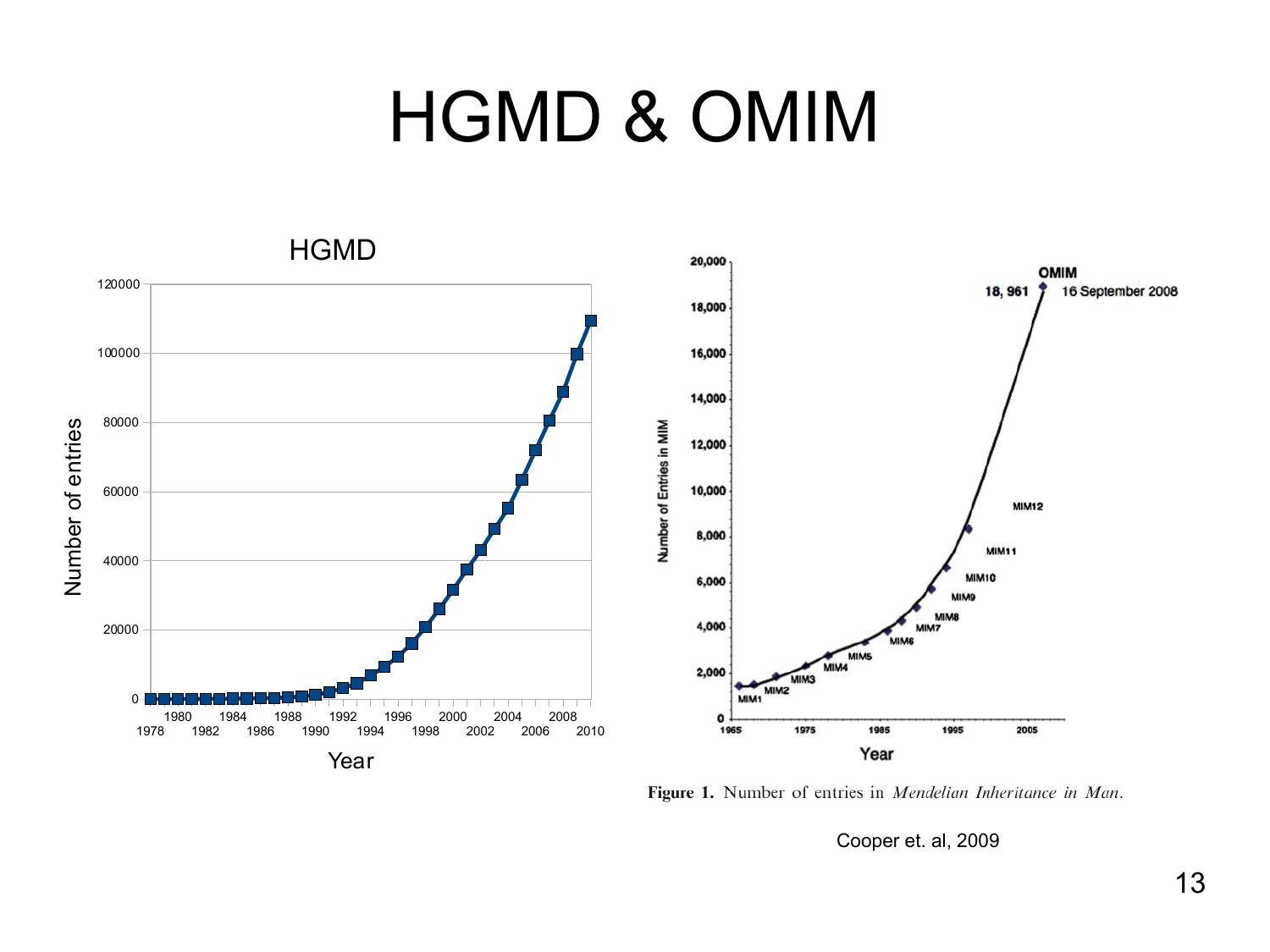#### HGMD & OMIM



Figure 1. Number of entries in Mendelian Inheritance in Man.

Cooper et. al, 2009